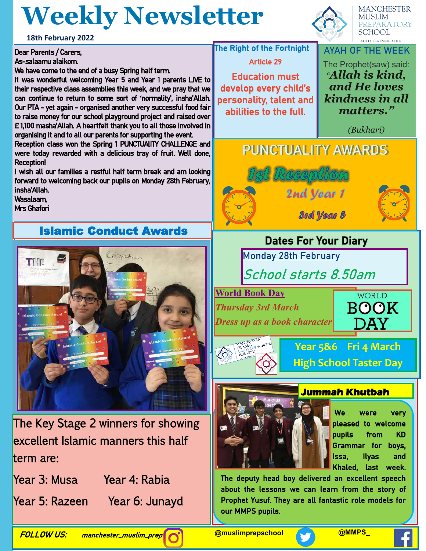# **Weekly Newsletter**

**18th February 2022**

#### Dear Parents / Carers, As-salaamu alaikom.

We have come to the end of a busy Spring half term.

It was wonderful welcoming Year 5 and Year 1 parents LIVE to their respective class assemblies this week, and we pray that we can continue to return to some sort of 'normality', insha'Allah. Our PTA - yet again - organised another very successful food fair to raise money for our school playground project and raised over £ 1,100 masha'Allah. A heartfelt thank you to all those involved in organising it and to all our parents for supporting the event.

Reception class won the Spring 1 PUNCTUAlITY CHALLENGE and were today rewarded with a delicious tray of fruit. Well done, Reception!

I wish all our families a restful half term break and am looking forward to welcoming back our pupils on Monday 28th February, insha'Allah.

Wasalaam, Mrs Ghafori

### Islamic Conduct Awards



The Key Stage 2 winners for showing excellent Islamic manners this half term are:

Year 3: Musa Year 4: Rabia

Year 5: Razeen Year 6: Junayd



**MANCHESTER MUSLIM** PREPARATORY **SCHOOL FAITH . LEARNING . LIFE** 

**The Right of the Fortnight** Article 29

Education must develop every child's personality, talent and abilities to the full.

### **AYAH OF THE WEEK** The Prophet(saw) said:

*"Allah is kind, and He loves kindness in all matters."* 

*(Bukhari)*

## **PUNCTUALITY AWARDS**





## **Dates For Your Diary**

**Monday 28th February**

**School starts 8.50am**

**World Book Day** *Thursday 3rd March*

*Dress up as a book character*





**Year 5&6 Fri 4 March High School Taster Day**



#### **Jummah Khutbah**

We were very pleased to welcome pupils from KD Grammar for boys, Issa, Ilyas and Khaled, last week.

The deputy head boy delivered an excellent speech about the lessons we can learn from the story of Prophet Yusuf. They are all fantastic role models for our MMPS pupils.